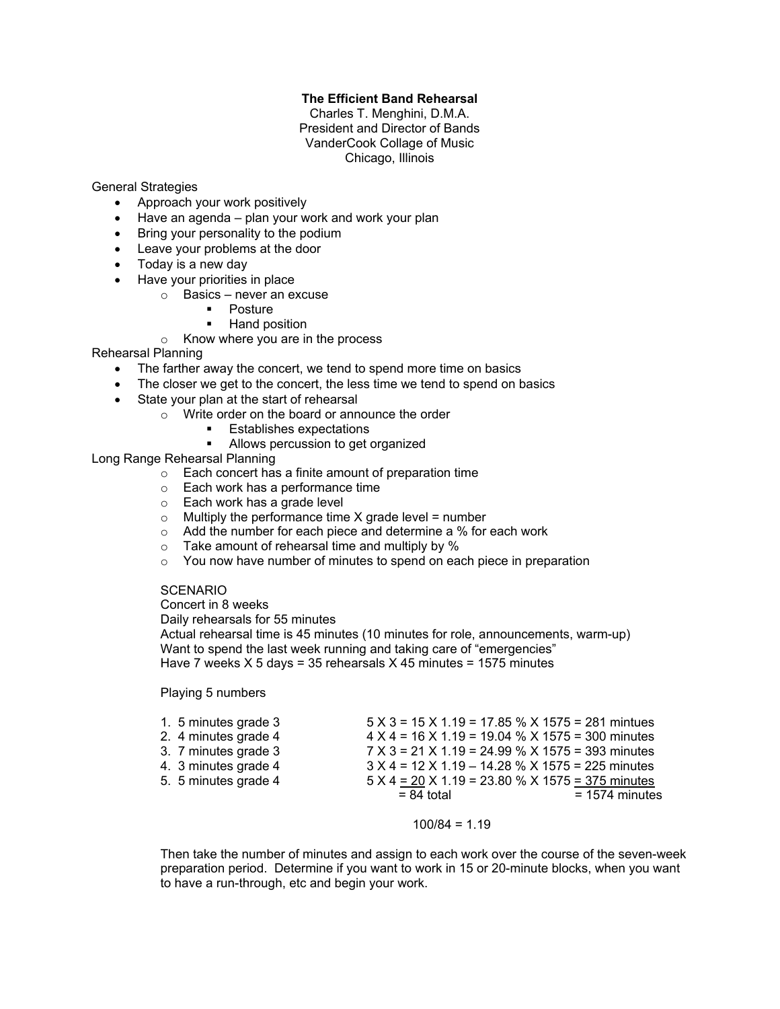## **The Efficient Band Rehearsal**

Charles T. Menghini, D.M.A. President and Director of Bands VanderCook Collage of Music Chicago, Illinois

General Strategies

- Approach your work positively
- $\bullet$  Have an agenda plan your work and work your plan
- Bring your personality to the podium
- Leave your problems at the door
- Today is a new day
- Have your priorities in place
	- o Basics never an excuse
		- ! Posture
		- Hand position
	- o Know where you are in the process

Rehearsal Planning

- The farther away the concert, we tend to spend more time on basics
- The closer we get to the concert, the less time we tend to spend on basics
- State your plan at the start of rehearsal
	- o Write order on the board or announce the order
		- **Establishes expectations**
		- ! Allows percussion to get organized

Long Range Rehearsal Planning

- o Each concert has a finite amount of preparation time
- o Each work has a performance time
- o Each work has a grade level
- $\circ$  Multiply the performance time X grade level = number
- o Add the number for each piece and determine a % for each work
- $\circ$  Take amount of rehearsal time and multiply by %
- $\circ$  You now have number of minutes to spend on each piece in preparation

## **SCENARIO**

Concert in 8 weeks

Daily rehearsals for 55 minutes

Actual rehearsal time is 45 minutes (10 minutes for role, announcements, warm-up) Want to spend the last week running and taking care of "emergencies" Have 7 weeks  $X$  5 days = 35 rehearsals  $X$  45 minutes = 1575 minutes

Playing 5 numbers

| 1. 5 minutes grade 3 | $5 \times 3 = 15 \times 1.19 = 17.85 \% \times 1575 = 281$ mintues |                  |
|----------------------|--------------------------------------------------------------------|------------------|
| 2. 4 minutes grade 4 | $4 X 4 = 16 X 1.19 = 19.04 % X 1575 = 300$ minutes                 |                  |
| 3. 7 minutes grade 3 | $7 \times 3 = 21 \times 1.19 = 24.99$ % X 1575 = 393 minutes       |                  |
| 4. 3 minutes grade 4 | $3 X 4 = 12 X 1.19 - 14.28 % X 1575 = 225$ minutes                 |                  |
| 5. 5 minutes grade 4 | $5 X 4 = 20 X 1.19 = 23.80 % X 1575 = 375$ minutes                 |                  |
|                      | $= 84$ total                                                       | $= 1574$ minutes |

#### $100/84 = 1.19$

Then take the number of minutes and assign to each work over the course of the seven-week preparation period. Determine if you want to work in 15 or 20-minute blocks, when you want to have a run-through, etc and begin your work.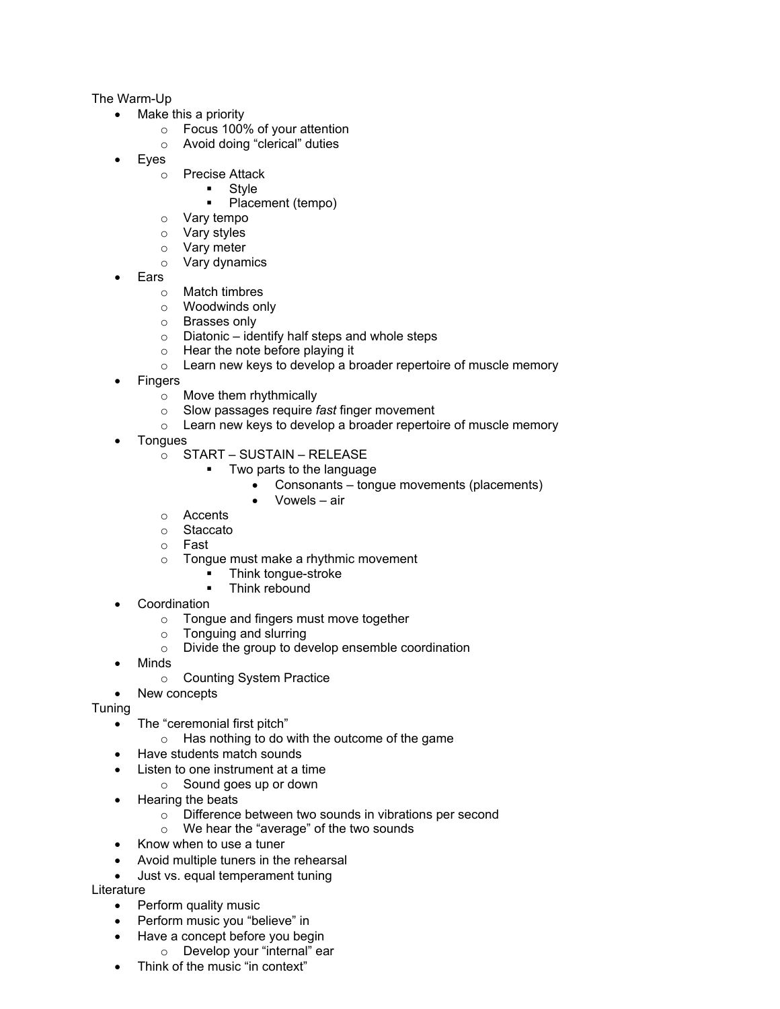## The Warm-Up

- Make this a priority
	- o Focus 100% of your attention
	- o Avoid doing "clerical" duties
- ! Eyes
	- o Precise Attack
		- Style
		- Placement (tempo)
	- o Vary tempo
	-
	- o Vary styles<br>
	o Vary meter Vary meter
	- o Vary dynamics
- ! Ears
	- o Match timbres
	- o Woodwinds only
	- o Brasses only
	- $\circ$  Diatonic identify half steps and whole steps
	- o Hear the note before playing it
	- o Learn new keys to develop a broader repertoire of muscle memory
- **Fingers** 
	- o Move them rhythmically
	- o Slow passages require *fast* finger movement
	- $\circ$  Learn new keys to develop a broader repertoire of muscle memory
- **Tongues** 
	- o START SUSTAIN RELEASE
		- ! Two parts to the language
			- Consonants tongue movements (placements)
			- ! Vowels air
	- o Accents
	- o Staccato
	- o Fast
	- o Tongue must make a rhythmic movement
		- ! Think tongue-stroke
		- Think rebound
- **Coordination** 
	- o Tongue and fingers must move together
	- o Tonguing and slurring
	- o Divide the group to develop ensemble coordination
- Minds
	- o Counting System Practice
- New concepts

Tuning

- The "ceremonial first pitch"
	- o Has nothing to do with the outcome of the game
- Have students match sounds
- Listen to one instrument at a time
	- o Sound goes up or down
- Hearing the beats
	- o Difference between two sounds in vibrations per second
	- o We hear the "average" of the two sounds
- Know when to use a tuner
- Avoid multiple tuners in the rehearsal
- Just vs. equal temperament tuning

**Literature** 

- Perform quality music
- Perform music you "believe" in
- Have a concept before you begin
	- o Develop your "internal" ear
- Think of the music "in context"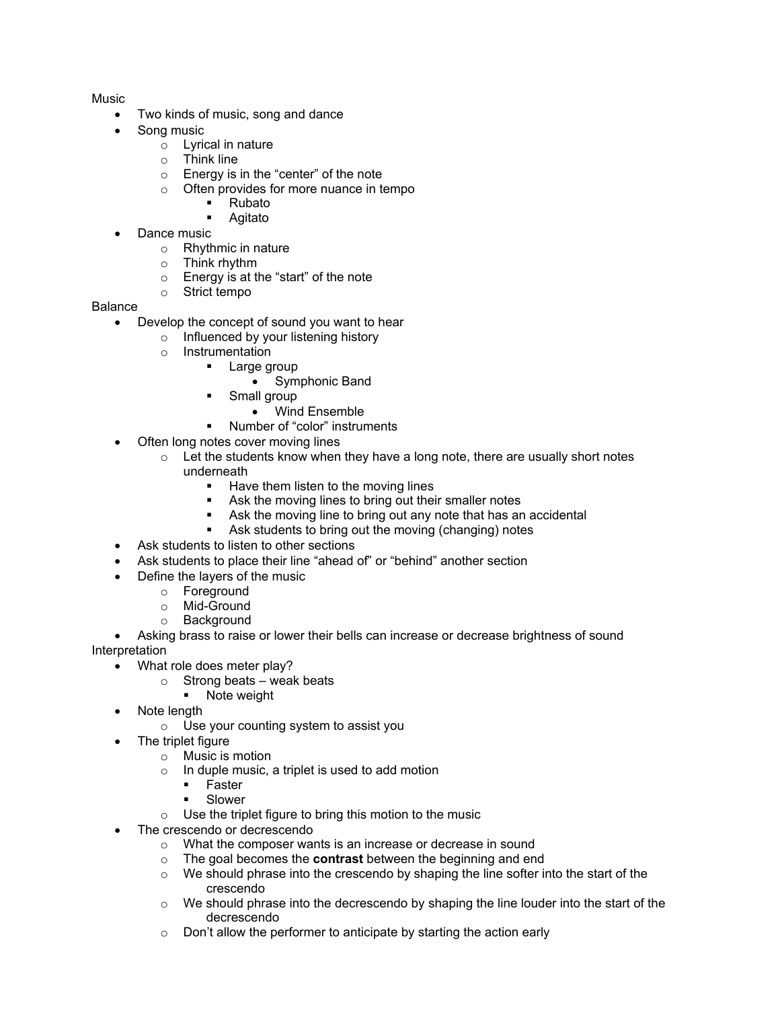**Music** 

- Two kinds of music, song and dance
- Song music
	- o Lyrical in nature
	- $\circ$  Think line
	- $\circ$  Energy is in the "center" of the note
	- o Often provides for more nuance in tempo
		- ! Rubato
		- ! Agitato
- Dance music
	- o Rhythmic in nature
	- o Think rhythm
	- o Energy is at the "start" of the note
	- o Strict tempo

# Balance

- Develop the concept of sound you want to hear
	- o Influenced by your listening history
	- o Instrumentation
		- ! Large group
			- Symphonic Band
			- Small group
				- Wind Ensemble
		- ! Number of "color" instruments
- Often long notes cover moving lines
	- $\circ$  Let the students know when they have a long note, there are usually short notes underneath
		- ! Have them listen to the moving lines
		- ! Ask the moving lines to bring out their smaller notes
		- Ask the moving line to bring out any note that has an accidental
		- ! Ask students to bring out the moving (changing) notes
- Ask students to listen to other sections
- ! Ask students to place their line "ahead of" or "behind" another section
- Define the layers of the music
	- o Foreground
	- o Mid-Ground
	- o Background
- Asking brass to raise or lower their bells can increase or decrease brightness of sound Interpretation
	- What role does meter play?
		- $\circ$  Strong beats weak beats
			- **•** Note weight
	- Note length
		- o Use your counting system to assist you
		- The triplet figure
			- o Music is motion
			- $\circ$  In duple music, a triplet is used to add motion
				- ! Faster
				- **E** Slower
			- $\circ$  Use the triplet figure to bring this motion to the music
	- The crescendo or decrescendo
		- $\circ$  What the composer wants is an increase or decrease in sound
		- o The goal becomes the **contrast** between the beginning and end
		- $\circ$  We should phrase into the crescendo by shaping the line softer into the start of the crescendo
		- $\circ$  We should phrase into the decrescendo by shaping the line louder into the start of the decrescendo
		- $\circ$  Don't allow the performer to anticipate by starting the action early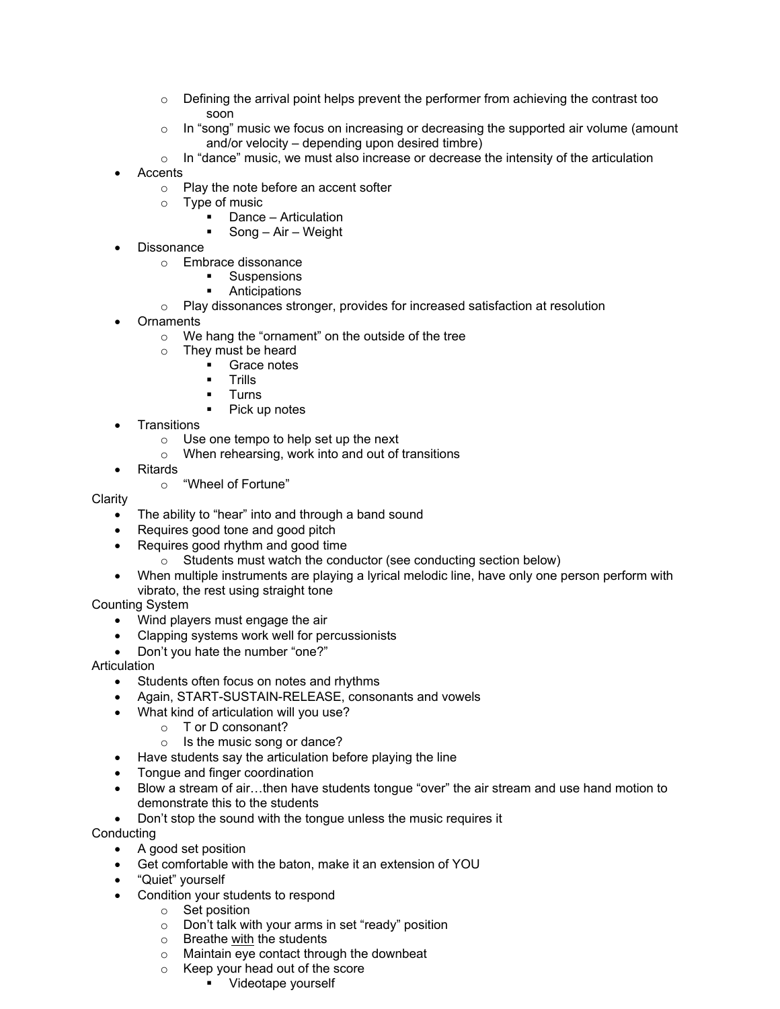- $\circ$  Defining the arrival point helps prevent the performer from achieving the contrast too soon
- $\circ$  In "song" music we focus on increasing or decreasing the supported air volume (amount and/or velocity – depending upon desired timbre)
- $\circ$  In "dance" music, we must also increase or decrease the intensity of the articulation
- **Accents** 
	- o Play the note before an accent softer
	- o Type of music
		- ! Dance Articulation
		- ! Song Air Weight
- **Dissonance** 
	- o Embrace dissonance
		- **E** Suspensions
		- **Anticipations**
	- $\circ$  Play dissonances stronger, provides for increased satisfaction at resolution
- **Ornaments** 
	- o We hang the "ornament" on the outside of the tree
	- o They must be heard
		- ! Grace notes
		- ! Trills
		- ! Turns
		- ! Pick up notes
- **Transitions** 
	- o Use one tempo to help set up the next
	- o When rehearsing, work into and out of transitions
- **Ritards** 
	- o "Wheel of Fortune"

**Clarity** 

- ! The ability to "hear" into and through a band sound
- Requires good tone and good pitch
- Requires good rhythm and good time
	- $\circ$  Students must watch the conductor (see conducting section below)
- ! When multiple instruments are playing a lyrical melodic line, have only one person perform with vibrato, the rest using straight tone

Counting System

- Wind players must engage the air
- ! Clapping systems work well for percussionists
- ! Don't you hate the number "one?"

Articulation

- Students often focus on notes and rhythms
- Again, START-SUSTAIN-RELEASE, consonants and vowels
- . What kind of articulation will you use?
	- o T or D consonant?
	- o Is the music song or dance?
- Have students say the articulation before playing the line
- Tongue and finger coordination
- Blow a stream of air...then have students tongue "over" the air stream and use hand motion to demonstrate this to the students
- Don't stop the sound with the tongue unless the music requires it

Conducting

- A good set position
- ! Get comfortable with the baton, make it an extension of YOU
- "Quiet" yourself
- Condition your students to respond
	- o Set position
	- o Don't talk with your arms in set "ready" position
	- Breathe <u>with</u> the students<br>○ Maintain eye contact throu
	- Maintain eye contact through the downbeat
	- o Keep your head out of the score
		- ! Videotape yourself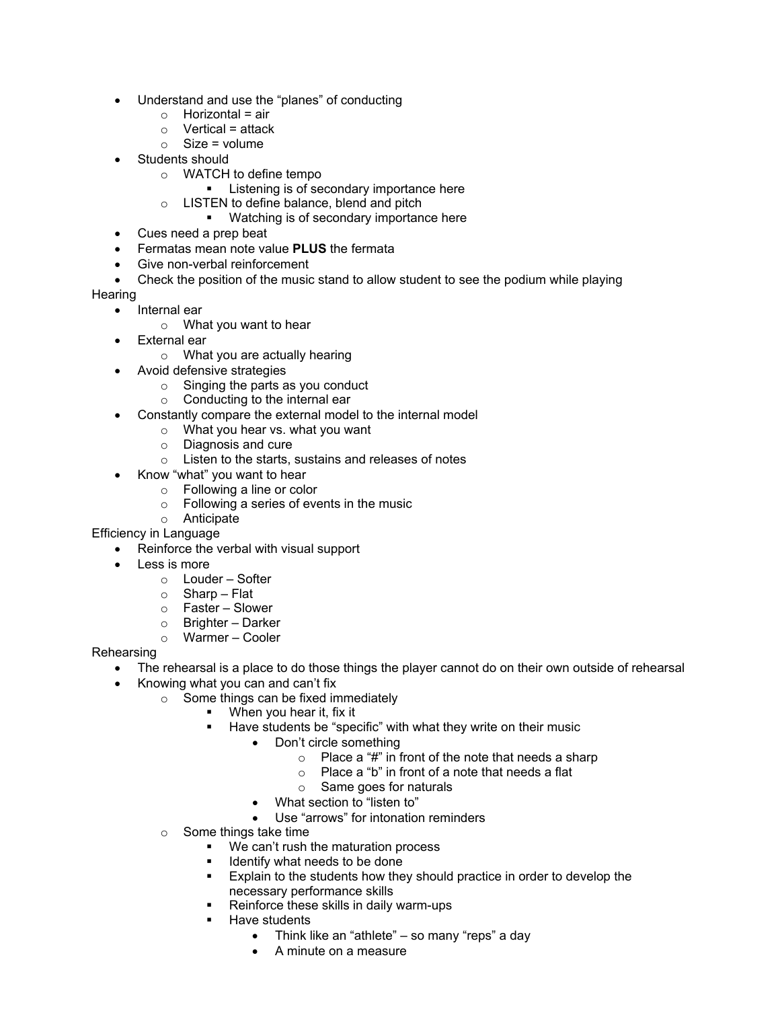- ! Understand and use the "planes" of conducting
	- $\circ$  Horizontal = air
	- $\circ$  Vertical = attack
	- $\circ$  Size = volume
- Students should
	- o WATCH to define tempo
		- **EXECUTE:** Listening is of secondary importance here
	- o LISTEN to define balance, blend and pitch
		- ! Watching is of secondary importance here
- Cues need a prep beat
- ! Fermatas mean note value **PLUS** the fermata
- Give non-verbal reinforcement
- Check the position of the music stand to allow student to see the podium while playing

**Hearing** 

- Internal ear
	- o What you want to hear
- External ear
	- o What you are actually hearing
	- Avoid defensive strategies
		- o Singing the parts as you conduct
		- o Conducting to the internal ear
- ! Constantly compare the external model to the internal model
	- o What you hear vs. what you want
	- o Diagnosis and cure
	- o Listen to the starts, sustains and releases of notes
- Know "what" you want to hear
	- o Following a line or color
	- $\circ$  Following a series of events in the music
	- o Anticipate

Efficiency in Language

- Reinforce the verbal with visual support
- Less is more
	- o Louder Softer
	- $\circ$  Sharp Flat
	- o Faster Slower
	- o Brighter Darker
	- o Warmer Cooler

**Rehearsing** 

- The rehearsal is a place to do those things the player cannot do on their own outside of rehearsal
- Knowing what you can and can't fix
	- o Some things can be fixed immediately
		- ! When you hear it, fix it
		- Have students be "specific" with what they write on their music
			- Don't circle something
				- $\circ$  Place a "#" in front of the note that needs a sharp
				- o Place a "b" in front of a note that needs a flat
				- $\circ$  Same goes for naturals
			- What section to "listen to"
			- Use "arrows" for intonation reminders
	- o Some things take time
		- ! We can't rush the maturation process
		- Identify what needs to be done
		- ! Explain to the students how they should practice in order to develop the necessary performance skills
		- Reinforce these skills in daily warm-ups
		- Have students
			- Think like an "athlete" so many "reps" a day
			- A minute on a measure